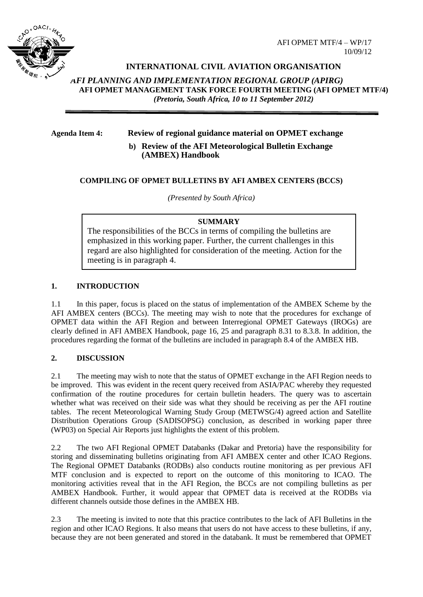

# **INTERNATIONAL CIVIL AVIATION ORGANISATION**

*AFI PLANNING AND IMPLEMENTATION REGIONAL GROUP (APIRG)* **AFI OPMET MANAGEMENT TASK FORCE FOURTH MEETING (AFI OPMET MTF/4)**  *(Pretoria, South Africa, 10 to 11 September 2012)*

# **Agenda Item 4: Review of regional guidance material on OPMET exchange**

**b) Review of the AFI Meteorological Bulletin Exchange (AMBEX) Handbook**

## **COMPILING OF OPMET BULLETINS BY AFI AMBEX CENTERS (BCCS)**

*(Presented by South Africa)*

#### **SUMMARY**

The responsibilities of the BCCs in terms of compiling the bulletins are emphasized in this working paper. Further, the current challenges in this regard are also highlighted for consideration of the meeting. Action for the meeting is in paragraph 4.

## **1. INTRODUCTION**

1.1 In this paper, focus is placed on the status of implementation of the AMBEX Scheme by the AFI AMBEX centers (BCCs). The meeting may wish to note that the procedures for exchange of OPMET data within the AFI Region and between Interregional OPMET Gateways (IROGs) are clearly defined in AFI AMBEX Handbook, page 16, 25 and paragraph 8.31 to 8.3.8. In addition, the procedures regarding the format of the bulletins are included in paragraph 8.4 of the AMBEX HB.

## **2. DISCUSSION**

2.1 The meeting may wish to note that the status of OPMET exchange in the AFI Region needs to be improved. This was evident in the recent query received from ASIA/PAC whereby they requested confirmation of the routine procedures for certain bulletin headers. The query was to ascertain whether what was received on their side was what they should be receiving as per the AFI routine tables. The recent Meteorological Warning Study Group (METWSG/4) agreed action and Satellite Distribution Operations Group (SADISOPSG) conclusion, as described in working paper three (WP03) on Special Air Reports just highlights the extent of this problem.

2.2 The two AFI Regional OPMET Databanks (Dakar and Pretoria) have the responsibility for storing and disseminating bulletins originating from AFI AMBEX center and other ICAO Regions. The Regional OPMET Databanks (RODBs) also conducts routine monitoring as per previous AFI MTF conclusion and is expected to report on the outcome of this monitoring to ICAO. The monitoring activities reveal that in the AFI Region, the BCCs are not compiling bulletins as per AMBEX Handbook. Further, it would appear that OPMET data is received at the RODBs via different channels outside those defines in the AMBEX HB.

2.3 The meeting is invited to note that this practice contributes to the lack of AFI Bulletins in the region and other ICAO Regions. It also means that users do not have access to these bulletins, if any, because they are not been generated and stored in the databank. It must be remembered that OPMET